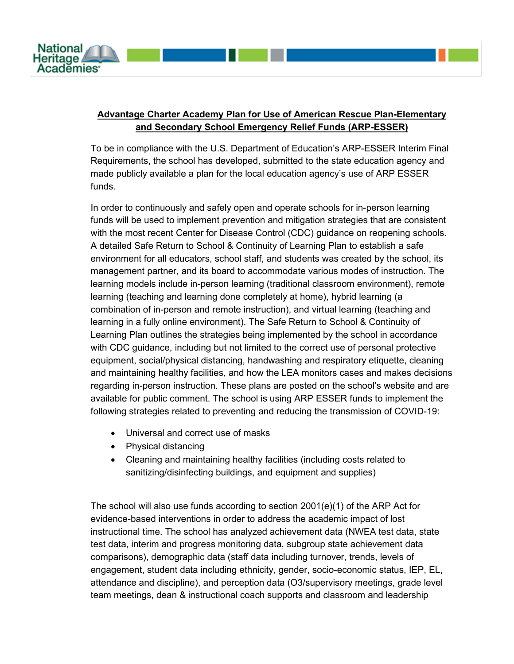

## **Advantage Charter Academy Plan for Use of American Rescue Plan-Elementary and Secondary School Emergency Relief Funds (ARP-ESSER)**

To be in compliance with the U.S. Department of Education's ARP-ESSER Interim Final Requirements, the school has developed, submitted to the state education agency and made publicly available a plan for the local education agency's use of ARP ESSER funds.

In order to continuously and safely open and operate schools for in-person learning funds will be used to implement prevention and mitigation strategies that are consistent with the most recent Center for Disease Control (CDC) guidance on reopening schools. A detailed Safe Return to School & Continuity of Learning Plan to establish a safe environment for all educators, school staff, and students was created by the school, its management partner, and its board to accommodate various modes of instruction. The learning models include in-person learning (traditional classroom environment), remote learning (teaching and learning done completely at home), hybrid learning (a combination of in-person and remote instruction), and virtual learning (teaching and learning in a fully online environment). The Safe Return to School & Continuity of Learning Plan outlines the strategies being implemented by the school in accordance with CDC guidance, including but not limited to the correct use of personal protective equipment, social/physical distancing, handwashing and respiratory etiquette, cleaning and maintaining healthy facilities, and how the LEA monitors cases and makes decisions regarding in-person instruction. These plans are posted on the school's website and are available for public comment. The school is using ARP ESSER funds to implement the following strategies related to preventing and reducing the transmission of COVID-19:

- Universal and correct use of masks
- Physical distancing
- Cleaning and maintaining healthy facilities (including costs related to sanitizing/disinfecting buildings, and equipment and supplies)

The school will also use funds according to section 2001(e)(1) of the ARP Act for evidence-based interventions in order to address the academic impact of lost instructional time. The school has analyzed achievement data (NWEA test data, state test data, interim and progress monitoring data, subgroup state achievement data comparisons), demographic data (staff data including turnover, trends, levels of engagement, student data including ethnicity, gender, socio-economic status, IEP, EL, attendance and discipline), and perception data (O3/supervisory meetings, grade level team meetings, dean & instructional coach supports and classroom and leadership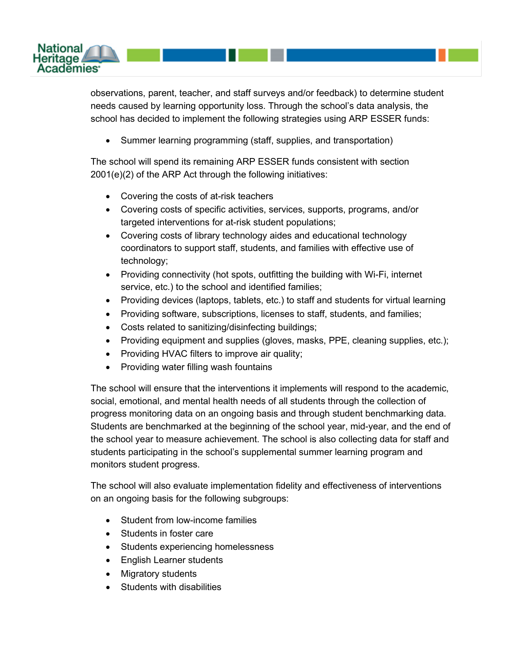

observations, parent, teacher, and staff surveys and/or feedback) to determine student needs caused by learning opportunity loss. Through the school's data analysis, the school has decided to implement the following strategies using ARP ESSER funds:

• Summer learning programming (staff, supplies, and transportation)

The school will spend its remaining ARP ESSER funds consistent with section 2001(e)(2) of the ARP Act through the following initiatives:

- Covering the costs of at-risk teachers
- Covering costs of specific activities, services, supports, programs, and/or targeted interventions for at-risk student populations;
- Covering costs of library technology aides and educational technology coordinators to support staff, students, and families with effective use of technology;
- Providing connectivity (hot spots, outfitting the building with Wi-Fi, internet service, etc.) to the school and identified families;
- Providing devices (laptops, tablets, etc.) to staff and students for virtual learning
- Providing software, subscriptions, licenses to staff, students, and families;
- Costs related to sanitizing/disinfecting buildings;
- Providing equipment and supplies (gloves, masks, PPE, cleaning supplies, etc.);
- Providing HVAC filters to improve air quality;
- Providing water filling wash fountains

The school will ensure that the interventions it implements will respond to the academic, social, emotional, and mental health needs of all students through the collection of progress monitoring data on an ongoing basis and through student benchmarking data. Students are benchmarked at the beginning of the school year, mid-year, and the end of the school year to measure achievement. The school is also collecting data for staff and students participating in the school's supplemental summer learning program and monitors student progress.

The school will also evaluate implementation fidelity and effectiveness of interventions on an ongoing basis for the following subgroups:

- Student from low-income families
- Students in foster care
- Students experiencing homelessness
- English Learner students
- Migratory students
- Students with disabilities